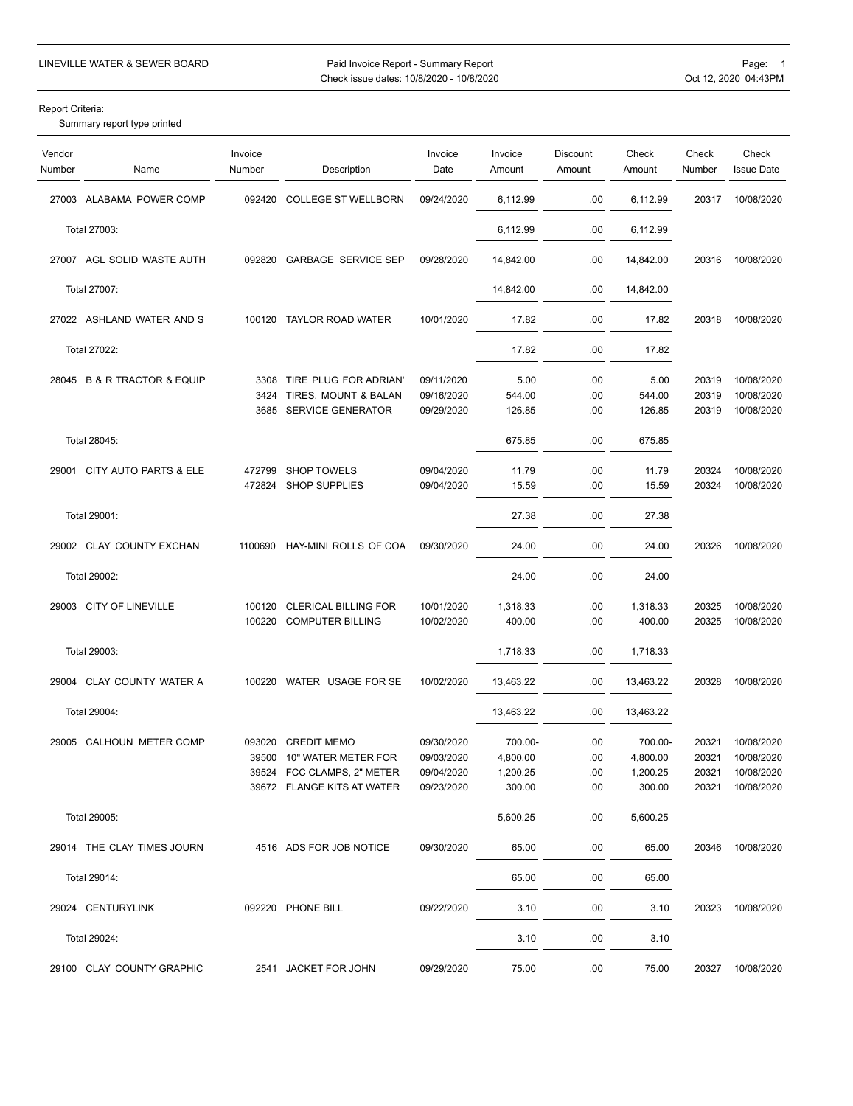Paid Invoice Report - Summary Report Pager and Devill LINEVILLE WATER & SEWER BOARD Page: 1<br>Check issue dates: 10/8/2020 - 10/8/2020 Check issue dates: 10/8/2020 - 10/8/2020

Report Criteria:

Summary report type printed

| Vendor<br>Number | Name                        | Invoice<br>Number | Description                 | Invoice<br>Date | Invoice<br>Amount | Discount<br>Amount | Check<br>Amount | Check<br>Number | Check<br><b>Issue Date</b> |
|------------------|-----------------------------|-------------------|-----------------------------|-----------------|-------------------|--------------------|-----------------|-----------------|----------------------------|
|                  | 27003 ALABAMA POWER COMP    | 092420            | <b>COLLEGE ST WELLBORN</b>  | 09/24/2020      | 6,112.99          | .00                | 6,112.99        | 20317           | 10/08/2020                 |
|                  | Total 27003:                |                   |                             |                 | 6,112.99          | .00                | 6,112.99        |                 |                            |
|                  | 27007 AGL SOLID WASTE AUTH  | 092820            | <b>GARBAGE SERVICE SEP</b>  | 09/28/2020      | 14,842.00         | .00                | 14,842.00       | 20316           | 10/08/2020                 |
|                  | Total 27007:                |                   |                             |                 | 14,842.00         | .00                | 14,842.00       |                 |                            |
|                  | 27022 ASHLAND WATER AND S   |                   | 100120 TAYLOR ROAD WATER    | 10/01/2020      | 17.82             | .00                | 17.82           | 20318           | 10/08/2020                 |
|                  | Total 27022:                |                   |                             |                 | 17.82             | .00                | 17.82           |                 |                            |
|                  |                             |                   |                             |                 |                   |                    |                 |                 |                            |
|                  | 28045 B & R TRACTOR & EQUIP |                   | 3308 TIRE PLUG FOR ADRIAN'  | 09/11/2020      | 5.00              | .00                | 5.00            | 20319           | 10/08/2020                 |
|                  |                             | 3424              | TIRES, MOUNT & BALAN        | 09/16/2020      | 544.00            | .00                | 544.00          | 20319           | 10/08/2020                 |
|                  |                             |                   | 3685 SERVICE GENERATOR      | 09/29/2020      | 126.85            | .00                | 126.85          | 20319           | 10/08/2020                 |
|                  | Total 28045:                |                   |                             |                 | 675.85            | .00                | 675.85          |                 |                            |
|                  |                             |                   |                             |                 |                   |                    |                 |                 |                            |
| 29001            | CITY AUTO PARTS & ELE       | 472799            | <b>SHOP TOWELS</b>          | 09/04/2020      | 11.79             | .00                | 11.79           | 20324           | 10/08/2020                 |
|                  |                             | 472824            | <b>SHOP SUPPLIES</b>        | 09/04/2020      | 15.59             | .00                | 15.59           | 20324           | 10/08/2020                 |
|                  | Total 29001:                |                   |                             |                 | 27.38             | .00                | 27.38           |                 |                            |
|                  | 29002 CLAY COUNTY EXCHAN    | 1100690           | HAY-MINI ROLLS OF COA       | 09/30/2020      | 24.00             | .00                | 24.00           | 20326           | 10/08/2020                 |
|                  | Total 29002:                |                   |                             |                 | 24.00             | .00                | 24.00           |                 |                            |
|                  |                             |                   |                             |                 |                   |                    |                 |                 |                            |
|                  | 29003 CITY OF LINEVILLE     | 100120            | <b>CLERICAL BILLING FOR</b> | 10/01/2020      | 1,318.33          | .00                | 1,318.33        | 20325           | 10/08/2020                 |
|                  |                             | 100220            | <b>COMPUTER BILLING</b>     | 10/02/2020      | 400.00            | .00                | 400.00          | 20325           | 10/08/2020                 |
|                  | Total 29003:                |                   |                             |                 | 1,718.33          | .00                | 1,718.33        |                 |                            |
|                  | 29004 CLAY COUNTY WATER A   |                   | 100220 WATER USAGE FOR SE   | 10/02/2020      | 13,463.22         | .00                | 13,463.22       | 20328           | 10/08/2020                 |
|                  | Total 29004:                |                   |                             |                 | 13,463.22         | .00                | 13,463.22       |                 |                            |
|                  | 29005 CALHOUN METER COMP    | 093020            | <b>CREDIT MEMO</b>          | 09/30/2020      | 700.00-           | .00                | 700.00-         | 20321           | 10/08/2020                 |
|                  |                             | 39500             | 10" WATER METER FOR         | 09/03/2020      | 4,800.00          | .00                | 4,800.00        | 20321           | 10/08/2020                 |
|                  |                             |                   | 39524 FCC CLAMPS, 2" METER  | 09/04/2020      | 1,200.25          | .00                | 1,200.25        | 20321           | 10/08/2020                 |
|                  |                             |                   | 39672 FLANGE KITS AT WATER  | 09/23/2020      | 300.00            | .00                | 300.00          | 20321           | 10/08/2020                 |
|                  | Total 29005:                |                   |                             |                 | 5,600.25          | .00                | 5,600.25        |                 |                            |
|                  |                             |                   |                             |                 |                   |                    |                 |                 |                            |
|                  | 29014 THE CLAY TIMES JOURN  |                   | 4516 ADS FOR JOB NOTICE     | 09/30/2020      | 65.00             | .00                | 65.00           | 20346           | 10/08/2020                 |
|                  | Total 29014:                |                   |                             |                 | 65.00             | .00                | 65.00           |                 |                            |
|                  | 29024 CENTURYLINK           |                   | 092220 PHONE BILL           | 09/22/2020      | 3.10              | .00                | 3.10            | 20323           | 10/08/2020                 |
|                  | Total 29024:                |                   |                             |                 | 3.10              | .00                | 3.10            |                 |                            |
|                  | 29100 CLAY COUNTY GRAPHIC   |                   | 2541 JACKET FOR JOHN        | 09/29/2020      | 75.00             | .00                | 75.00           | 20327           | 10/08/2020                 |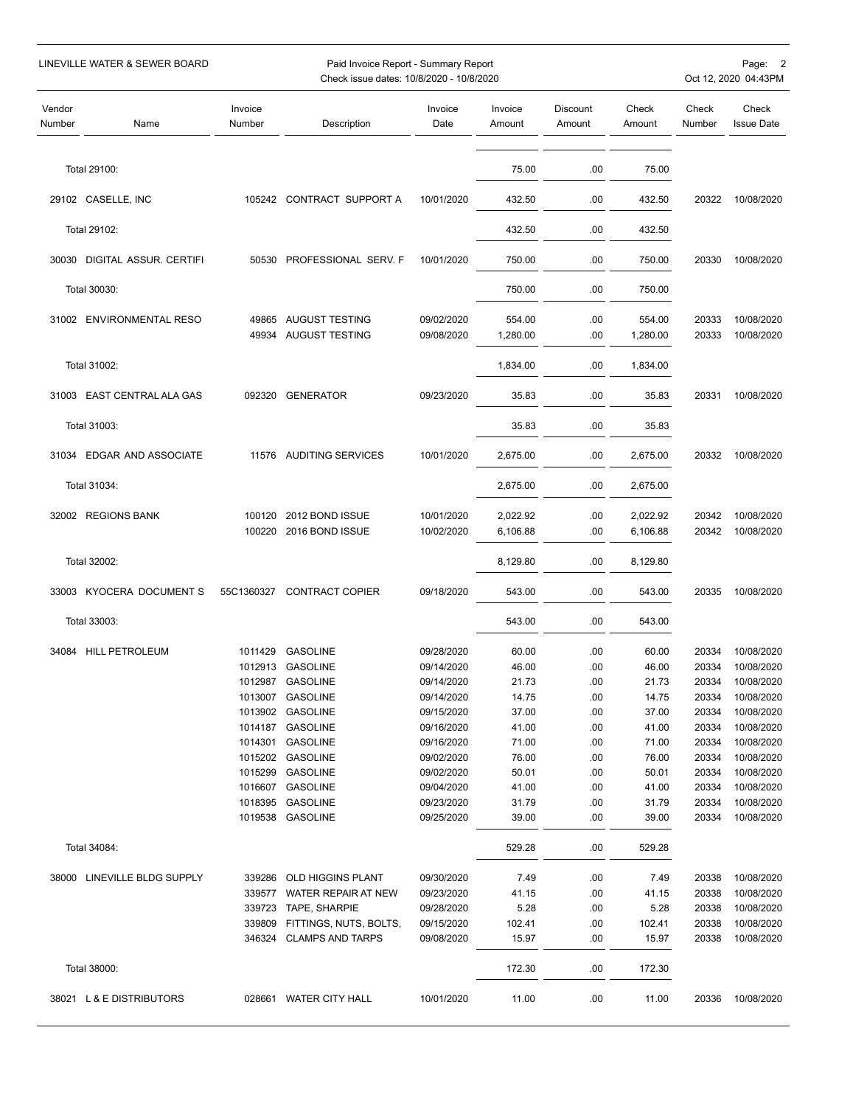LINEVILLE WATER & SEWER BOARD **Page:** 2 Paid Invoice Report - Summary Report Page: 2 Page: 2 Page: 2 Check issue dates: 10/8/2020 - 10/8/2020 **Check** issue dates: 10/8/2020 - 10/8/2020 Vendor Invoice Invoice Invoice Invoice Discount Check Check Check Number Name Number Description Date Amount Amount Amount Number Issue Date Total 29100: 75.00 .00 75.00 CASELLE, INC 105242 CONTRACT SUPPORT A 10/01/2020 432.50 .00 432.50 20322 10/08/2020 Total 29102: 432.50 .00 432.50 DIGITAL ASSUR. CERTIFI 50530 PROFESSIONAL SERV. F 10/01/2020 750.00 .00 750.00 20330 10/08/2020 Total 30030: 750.00 .00 750.00 ENVIRONMENTAL RESO 49865 AUGUST TESTING 09/02/2020 554.00 .00 554.00 20333 10/08/2020 AUGUST TESTING 09/08/2020 1,280.00 .00 1,280.00 20333 10/08/2020 Total 31002: 1,834.00 .00 1,834.00 EAST CENTRAL ALA GAS 092320 GENERATOR 09/23/2020 35.83 .00 35.83 20331 10/08/2020 Total 31003: 35.83 .00 35.83 EDGAR AND ASSOCIATE 11576 AUDITING SERVICES 10/01/2020 2,675.00 .00 2,675.00 20332 10/08/2020 Total 31034: 2,675.00 .00 2,675.00 REGIONS BANK 100120 2012 BOND ISSUE 10/01/2020 2,022.92 .00 2,022.92 20342 10/08/2020 2016 BOND ISSUE 10/02/2020 6,106.88 .00 6,106.88 20342 10/08/2020 Total 32002: 8,129.80 .00 8,129.80 KYOCERA DOCUMENT S 55C1360327 CONTRACT COPIER 09/18/2020 543.00 .00 543.00 20335 10/08/2020 Total 33003: 543.00 .00 543.00 HILL PETROLEUM 1011429 GASOLINE 09/28/2020 60.00 .00 60.00 20334 10/08/2020 GASOLINE 09/14/2020 46.00 .00 46.00 20334 10/08/2020 GASOLINE 09/14/2020 21.73 .00 21.73 20334 10/08/2020 GASOLINE 09/14/2020 14.75 .00 14.75 20334 10/08/2020 GASOLINE 09/15/2020 37.00 .00 37.00 20334 10/08/2020 GASOLINE 09/16/2020 41.00 .00 41.00 20334 10/08/2020 GASOLINE 09/16/2020 71.00 .00 71.00 20334 10/08/2020 GASOLINE 09/02/2020 76.00 .00 76.00 20334 10/08/2020 GASOLINE 09/02/2020 50.01 .00 50.01 20334 10/08/2020 GASOLINE 09/04/2020 41.00 .00 41.00 20334 10/08/2020 GASOLINE 09/23/2020 31.79 .00 31.79 20334 10/08/2020 GASOLINE 09/25/2020 39.00 .00 39.00 20334 10/08/2020 Total 34084: 529.28 .00 529.28 LINEVILLE BLDG SUPPLY 339286 OLD HIGGINS PLANT 09/30/2020 7.49 .00 7.49 20338 10/08/2020 WATER REPAIR AT NEW 09/23/2020 41.15 .00 41.15 20338 10/08/2020 TAPE, SHARPIE 09/28/2020 5.28 .00 5.28 20338 10/08/2020 339809 FITTINGS, NUTS, BOLTS, 09/15/2020 102.41 .00 102.41 20338 10/08/2020 CLAMPS AND TARPS 09/08/2020 15.97 .00 15.97 20338 10/08/2020 Total 38000: 172.30 .00 172.30 L & E DISTRIBUTORS 028661 WATER CITY HALL 10/01/2020 11.00 .00 11.00 20336 10/08/2020